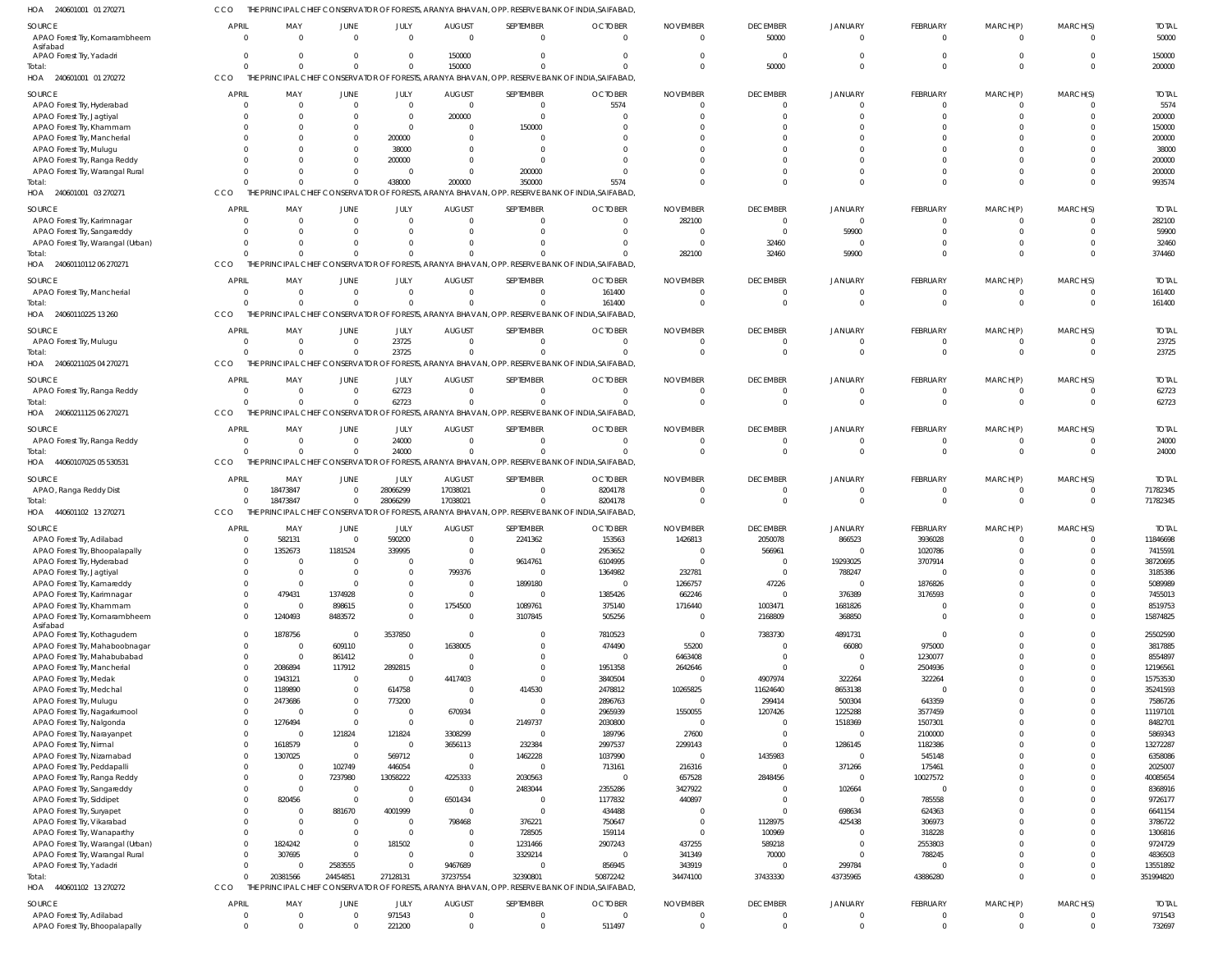CCO THE PRINCIPAL CHIEF CONSERVATOR OF FORESTS, ARANYA BHAVAN, OPP. RESERVE BANK OF INDIA,SAIFABAD,

| HOA<br>240601001 01 270271                                       |                                  |                               |                            |                      |                               |                          | PRINCIPAL CHIEF CONSERVATOR OF FORESTS, ARANYA BHAVAN, OPP. RESERVE BANK OF INDIA,SAIFABAD       |                             |                                   |                      |                                   |                      |                            |                        |
|------------------------------------------------------------------|----------------------------------|-------------------------------|----------------------------|----------------------|-------------------------------|--------------------------|--------------------------------------------------------------------------------------------------|-----------------------------|-----------------------------------|----------------------|-----------------------------------|----------------------|----------------------------|------------------------|
| SOURCE                                                           | <b>APRIL</b>                     | MAY                           | JUNE                       | JULY                 | <b>AUGUST</b>                 | SEPTEMBER                | <b>OCTOBER</b>                                                                                   | <b>NOVEMBER</b>             | <b>DECEMBER</b>                   | <b>JANUARY</b>       | <b>FEBRUARY</b>                   | MARCH(P)             | MARCH(S)                   | <b>TOTAL</b>           |
| APAO Forest Try, Komarambheem<br>Asifabad                        | $\overline{0}$                   | $\Omega$                      |                            | $\Omega$             | $\Omega$                      | $\Omega$                 | $\Omega$                                                                                         | $\Omega$                    | 50000                             | $\Omega$             | $\overline{0}$                    | $\Omega$             | $\Omega$                   | 50000                  |
| APAO Forest Try, Yadadri                                         | $\overline{0}$                   | $\mathbf 0$                   | $\Omega$                   | $\Omega$             | 150000                        | $\Omega$                 | $\Omega$                                                                                         |                             | $\Omega$                          | $\Omega$             | $\Omega$                          |                      | $\Omega$                   | 150000                 |
| Total:                                                           | $\Omega$                         | $\Omega$                      |                            | $\Omega$             | 150000                        | $\Omega$                 | $\Omega$                                                                                         | $\Omega$                    | 50000                             | $\Omega$             | $\Omega$                          | $\Omega$             | $\Omega$                   | 200000                 |
| HOA<br>240601001 01 270272                                       | <b>CCO</b>                       |                               |                            |                      |                               |                          | THE PRINCIPAL CHIEF CONSERVATOR OF FORESTS, ARANYA BHAVAN, OPP. RESERVE BANK OF INDIA, SAIFABAD  |                             |                                   |                      |                                   |                      |                            |                        |
| <b>SOURCE</b>                                                    | <b>APRIL</b>                     | MAY                           | JUNE                       | JULY                 | <b>AUGUST</b>                 | SEPTEMBER                | <b>OCTOBER</b>                                                                                   | <b>NOVEMBER</b>             | <b>DECEMBER</b>                   | <b>JANUARY</b>       | <b>FEBRUARY</b>                   | MARCH(P)             | MARCH(S)                   | <b>TOTAL</b>           |
| APAO Forest Try, Hyderabad<br>APAO Forest Try, Jagtiyal          | $\circ$<br>$\Omega$              | $\overline{0}$<br>$\mathbf 0$ | $\mathbf 0$<br>$\Omega$    | $\Omega$<br>$\Omega$ | $\overline{0}$<br>200000      | $\Omega$<br>$\Omega$     | 5574<br>$\Omega$                                                                                 |                             | $\overline{0}$<br>$\Omega$        | $\Omega$             | $\mathbf 0$<br>$\Omega$           |                      | $\Omega$<br>$\Omega$       | 5574<br>200000         |
| APAO Forest Try, Khammam                                         | $\Omega$                         | $\mathbf 0$                   | $\Omega$                   | $\Omega$             | $\mathbf 0$                   | 150000                   | $\Omega$                                                                                         |                             | $\Omega$                          |                      | $\Omega$                          |                      | $\Omega$                   | 150000                 |
| APAO Forest Try, Mancherial                                      |                                  | $\mathbf 0$                   |                            | 200000               | $\Omega$                      | $\Omega$                 |                                                                                                  |                             | $\Omega$                          |                      |                                   |                      | $\Omega$                   | 200000                 |
| APAO Forest Try, Mulugu                                          | $\Omega$                         | $\mathbf 0$                   | $\Omega$                   | 38000                | $\Omega$                      | $\Omega$                 |                                                                                                  |                             | $\Omega$                          |                      |                                   |                      | $\Omega$                   | 38000                  |
| APAO Forest Try, Ranga Reddy                                     | $\Omega$                         | $\Omega$                      | $\Omega$                   | 200000<br>$\Omega$   | $\Omega$<br>$\Omega$          | $\Omega$                 | $\Omega$                                                                                         |                             | $\Omega$<br>$\Omega$              |                      | $\Omega$                          |                      | $\Omega$<br>$\Omega$       | 200000<br>200000       |
| APAO Forest Try, Warangal Rural<br>Total:                        | $\Omega$                         | $\mathbf{0}$<br>$\Omega$      | $\Omega$                   | 438000               | 200000                        | 200000<br>350000         | 5574                                                                                             |                             | $\Omega$                          | $\Omega$             | $\Omega$                          |                      | $\Omega$                   | 993574                 |
| HOA 240601001 03 270271                                          | CCO                              |                               |                            |                      |                               |                          | THE PRINCIPAL CHIEF CONSERVATOR OF FORESTS, ARANYA BHAVAN, OPP. RESERVE BANK OF INDIA, SAIFABAD  |                             |                                   |                      |                                   |                      |                            |                        |
| SOURCE                                                           | <b>APRI</b>                      | MAY                           | JUNE                       | JULY                 | <b>AUGUST</b>                 | SEPTEMBER                | <b>OCTOBER</b>                                                                                   | <b>NOVEMBER</b>             | <b>DECEMBER</b>                   | <b>JANUARY</b>       | <b>FEBRUARY</b>                   | MARCH(P)             | MARCH(S)                   | <b>TOTAL</b>           |
| APAO Forest Try, Karimnagar                                      | $\circ$                          | $\mathbf{0}$                  | $\Omega$                   | $\Omega$             | $\mathbf 0$                   | $\Omega$                 | $\Omega$                                                                                         | 282100                      | $\overline{0}$                    | $\Omega$             | $\overline{0}$                    | - 0                  | $\Omega$                   | 282100                 |
| APAO Forest Try, Sangareddy                                      | $\Omega$                         | $\mathbf 0$                   |                            | $\Omega$             | $\Omega$                      | $\Omega$                 | $\Omega$                                                                                         | - 0                         | $\overline{0}$                    | 59900                | $\Omega$                          |                      | $\Omega$                   | 59900                  |
| APAO Forest Try, Warangal (Urban)                                | $\Omega$<br>$\Omega$             | $\Omega$<br>$\Omega$          | $\Omega$                   | $\Omega$<br>$\Omega$ | $\Omega$<br>$\Omega$          | $\Omega$<br>$\cap$       | $\Omega$<br>$\Omega$                                                                             | $\Omega$                    | 32460                             | $\cap$               | $\Omega$<br>$\Omega$              |                      | $\Omega$                   | 32460                  |
| Total:<br>HOA 24060110112 06 270271                              | CCO                              |                               |                            |                      |                               |                          | THE PRINCIPAL CHIEF CONSERVATOR OF FORESTS, ARANYA BHAVAN, OPP. RESERVE BANK OF INDIA, SAIFABAD  | 282100                      | 32460                             | 59900                |                                   |                      | $\Omega$                   | 374460                 |
|                                                                  |                                  |                               |                            |                      |                               |                          |                                                                                                  |                             |                                   |                      |                                   |                      |                            |                        |
| <b>SOURCE</b><br>APAO Forest Try, Mancherial                     | <b>APRIL</b><br>$\circ$          | MAY<br>$\overline{0}$         | JUNE<br>$\Omega$           | JULY<br>$\Omega$     | <b>AUGUST</b><br>$\mathbf 0$  | SEPTEMBER<br>$\Omega$    | <b>OCTOBER</b><br>161400                                                                         | <b>NOVEMBER</b><br>$\Omega$ | <b>DECEMBER</b><br>$\overline{0}$ | JANUARY<br>$\Omega$  | <b>FEBRUARY</b><br>$\overline{0}$ | MARCH(P)<br>- 0      | MARCH(S)<br>$\mathbf{0}$   | <b>TOTAL</b><br>161400 |
| Total:                                                           | $\Omega$                         | $\Omega$                      | $\Omega$                   | $\Omega$             | $\Omega$                      | $\Omega$                 | 161400                                                                                           |                             | $\Omega$                          | $\Omega$             | $\Omega$                          |                      | $\Omega$                   | 161400                 |
| 24060110225 13 260<br>HOA                                        | CCO                              |                               |                            |                      |                               |                          | THE PRINCIPAL CHIEF CONSERVATOR OF FORESTS, ARANYA BHAVAN, OPP. RESERVE BANK OF INDIA, SAIFABAD  |                             |                                   |                      |                                   |                      |                            |                        |
| SOURCE                                                           | <b>APRIL</b>                     | MAY                           | JUNE                       | JULY                 | <b>AUGUST</b>                 | SEPTEMBER                | <b>OCTOBER</b>                                                                                   | <b>NOVEMBER</b>             | <b>DECEMBER</b>                   | <b>JANUARY</b>       | <b>FEBRUARY</b>                   | MARCH(P)             | MARCH(S)                   | <b>TOTAL</b>           |
| APAO Forest Try, Mulugu                                          | $\overline{0}$                   | $\overline{0}$                | $\Omega$                   | 23725                | $\overline{0}$                | $\Omega$                 | $\Omega$                                                                                         | - 0                         | $\overline{0}$                    | - 0                  | $\overline{0}$                    | - 0                  | $\Omega$                   | 23725                  |
| Total:                                                           | $\Omega$                         | $\Omega$                      | $\Omega$                   | 23725                | $\Omega$                      | $\Omega$                 | $\Omega$                                                                                         | $\Omega$                    | $\overline{0}$                    | $\Omega$             | $\overline{0}$                    | $\Omega$             | $\Omega$                   | 23725                  |
| HOA 24060211025 04 270271                                        | CCO                              |                               |                            |                      |                               |                          | THE PRINCIPAL CHIEF CONSERVATOR OF FORESTS, ARANYA BHAVAN, OPP. RESERVE BANK OF INDIA, SAIFABAD  |                             |                                   |                      |                                   |                      |                            |                        |
| <b>SOURCE</b>                                                    | <b>APRIL</b>                     | MAY                           | <b>JUNE</b>                | JULY                 | <b>AUGUST</b>                 | SEPTEMBER                | <b>OCTOBER</b>                                                                                   | <b>NOVEMBER</b>             | <b>DECEMBER</b>                   | <b>JANUARY</b>       | <b>FEBRUARY</b>                   | MARCH(P)             | MARCH(S)                   | <b>TOTAL</b>           |
| APAO Forest Try, Ranga Reddy<br>Total:                           | $\Omega$<br>$\Omega$             | $\mathbf 0$<br>$\Omega$       | $\Omega$<br>$\Omega$       | 62723<br>62723       | $\mathbf 0$<br>$\overline{0}$ | $\Omega$<br>$\Omega$     | $\Omega$<br>$\Omega$                                                                             | - 0                         | $\overline{0}$<br>$\overline{0}$  | $\cap$<br>$\Omega$   | $\overline{0}$<br>$\Omega$        | - 0                  | $\Omega$<br>$\Omega$       | 62723<br>62723         |
| HOA 24060211125 06 270271                                        | CCO                              |                               |                            |                      |                               |                          | THE PRINCIPAL CHIEF CONSERVATOR OF FORESTS, ARANYA BHAVAN, OPP. RESERVE BANK OF INDIA, SAIFABAD  |                             |                                   |                      |                                   |                      |                            |                        |
| <b>SOURCE</b>                                                    | <b>APRIL</b>                     | MAY                           | JUNE                       | JULY                 | <b>AUGUST</b>                 | SEPTEMBER                | <b>OCTOBER</b>                                                                                   | <b>NOVEMBER</b>             | <b>DECEMBER</b>                   | <b>JANUARY</b>       | <b>FEBRUARY</b>                   | MARCH(P)             | MARCH(S)                   | <b>TOTAL</b>           |
| APAO Forest Try, Ranga Reddy                                     | $\overline{0}$                   | $\mathbf 0$                   | $\Omega$                   | 24000                | $\mathbf 0$                   | $\Omega$                 | $\Omega$                                                                                         | $\Omega$                    | $\overline{0}$                    | $\Omega$             | $\overline{0}$                    | - 0                  | $\Omega$                   | 24000                  |
| Total:                                                           | $\Omega$                         | $\Omega$                      | $\Omega$                   | 24000                | $\overline{0}$                | $\Omega$                 | $\Omega$                                                                                         | $\Omega$                    | $\Omega$                          | $\Omega$             | $\Omega$                          | $\Omega$             | $\Omega$                   | 24000                  |
| HOA<br>44060107025 05 530531                                     | CCO                              |                               |                            |                      |                               |                          | NCIPAL CHIEF CONSERVATOR OF FORESTS, ARANYA BHAVAN, OPP. RESERVE BANK OF INDIA,SAIFABAD          |                             |                                   |                      |                                   |                      |                            |                        |
| <b>SOURCE</b>                                                    | <b>APRIL</b>                     | MAY                           | JUNE                       | JULY                 | <b>AUGUST</b>                 | SEPTEMBER                | <b>OCTOBER</b>                                                                                   | <b>NOVEMBER</b>             | <b>DECEMBER</b>                   | <b>JANUARY</b>       | <b>FEBRUARY</b>                   | MARCH(P)             | MARCH(S)                   | <b>TOTAL</b>           |
| APAO, Ranga Reddy Dist                                           | - 0                              | 18473847                      | $\Omega$                   | 28066299             | 17038021                      | $\Omega$                 | 8204178                                                                                          | - 0                         | $\overline{0}$                    | $\Omega$             | $\overline{0}$                    | - 0                  | $\mathbf{0}$               | 71782345               |
|                                                                  |                                  |                               |                            |                      |                               |                          |                                                                                                  |                             |                                   |                      |                                   |                      |                            |                        |
| Total:                                                           | $\Omega$                         | 18473847                      | $\Omega$                   | 28066299             | 17038021                      | $\Omega$                 | 8204178                                                                                          | $\cap$                      | $\Omega$                          | $\Omega$             | $\mathbf{0}$                      | $\Omega$             | $\Omega$                   | 71782345               |
| 440601102 13 270271<br>HOA                                       | CCO                              |                               |                            |                      |                               |                          | THE PRINCIPAL CHIEF CONSERVATOR OF FORESTS, ARANYA BHAVAN, OPP. RESERVE BANK OF INDIA, SAIFABAD  |                             |                                   |                      |                                   |                      |                            |                        |
| SOURCE                                                           | <b>APRI</b>                      | MAY                           | JUNE                       | JULY                 | <b>AUGUST</b>                 | SEPTEMBER                | <b>OCTOBER</b>                                                                                   | <b>NOVEMBER</b>             | <b>DECEMBER</b>                   | <b>JANUARY</b>       | FEBRUARY                          | MARCH(P)             | MARCH(S)                   | <b>TOTAL</b>           |
| APAO Forest Try, Adilabad<br>APAO Forest Try, Bhoopalapally      | -0<br>$\mathbf 0$                | 582131<br>1352673             | $\Omega$<br>1181524        | 590200<br>339995     | $\mathbf 0$<br>$\Omega$       | 2241362<br>$\Omega$      | 153563<br>2953652                                                                                | 1426813<br>$\cap$           | 2050078<br>566961                 | 866523<br>$\cap$     | 3936028<br>1020786                | $\Omega$             | $\Omega$<br>$\Omega$       | 11846698<br>7415591    |
| APAO Forest Try, Hyderabad                                       | $\Omega$                         | $\mathbf 0$                   | $\Omega$                   | $\Omega$             | $\Omega$                      | 9614761                  | 6104995                                                                                          |                             | $\overline{0}$                    | 19293025             | 3707914                           | $\Omega$             | $\Omega$                   | 38720695               |
| APAO Forest Try, Jagtiyal                                        | $\Omega$                         | $\mathbf 0$                   | $\Omega$                   | $\Omega$             | 799376                        | $\overline{0}$           | 1364982                                                                                          | 232781                      | $\overline{0}$                    | 788247               | $\Omega$                          |                      | $\Omega$                   | 3185386                |
| APAO Forest Try, Kamareddy                                       | $\Omega$                         | $\mathbf{0}$                  | $\Omega$                   | $\Omega$             | $\mathbf 0$                   | 1899180                  | $\Omega$                                                                                         | 1266757                     | 47226                             | $\Omega$             | 1876826                           | $\Omega$             | $\Omega$                   | 5089989                |
| APAO Forest Try, Karimnagar                                      | $\overline{0}$                   | 479431                        | 1374928                    | $\Omega$<br>$\Omega$ | $\mathbf 0$                   | $\overline{0}$           | 1385426                                                                                          | 662246                      | $\overline{0}$                    | 376389               | 3176593<br>$\Omega$               |                      | $\Omega$<br>$\Omega$       | 7455013                |
| APAO Forest Try, Khammam<br>APAO Forest Try, Komarambheem        | $\overline{0}$<br>$\overline{0}$ | $\overline{0}$<br>1240493     | 898615<br>8483572          | $\Omega$             | 1754500<br>$\mathbf 0$        | 1089761<br>3107845       | 375140<br>505256                                                                                 | 1716440<br>$\Omega$         | 1003471<br>2168809                | 1681826<br>368850    | $\Omega$                          | $\Omega$             | $\Omega$                   | 8519753<br>15874825    |
| Asifabad                                                         |                                  |                               |                            |                      |                               |                          |                                                                                                  |                             |                                   |                      |                                   |                      |                            |                        |
| APAO Forest Try, Kothaqudem<br>APAO Forest Try, Mahaboobnagar    | $\overline{0}$<br>$\overline{0}$ | 1878756<br>$\overline{0}$     | $\mathsf{C}$<br>609110     | 3537850<br>$\Omega$  | $\Omega$<br>1638005           | $\Omega$<br>$\Omega$     | 7810523<br>474490                                                                                | $\Omega$<br>55200           | 7383730<br>$\overline{0}$         | 4891731<br>66080     | $\Omega$<br>975000                | $\Omega$<br>$\Omega$ | $\Omega$<br>$\Omega$       | 25502590<br>3817885    |
| APAO Forest Try, Mahabubabad                                     | $\overline{0}$                   | $\overline{0}$                | 861412                     | $\Omega$             | $\mathbf 0$                   | $\Omega$                 | $\Omega$                                                                                         | 6463408                     | $\overline{0}$                    | $\Omega$             | 1230077                           | $\Omega$             | $\Omega$                   | 8554897                |
| APAO Forest Try, Mancherial                                      | $\overline{0}$                   | 2086894                       | 117912                     | 2892815              | $\mathbf 0$                   | $\mathbf{0}$             | 1951358                                                                                          | 2642646                     | $\overline{0}$                    | $\Omega$             | 2504936                           | $\Omega$             | $\Omega$                   | 12196561               |
| APAO Forest Try, Medak                                           | $\overline{0}$                   | 1943121                       | $\mathbf 0$                | $\Omega$             | 4417403                       | $\Omega$                 | 3840504                                                                                          |                             | 4907974                           | 322264               | 322264                            |                      | $\Omega$                   | 15753530               |
| APAO Forest Try, Medchal                                         | $\overline{0}$                   | 1189890                       | $\mathbf 0$                | 614758               | $\overline{0}$                | 414530                   | 2478812                                                                                          | 10265825                    | 11624640                          | 8653138              | $\Omega$                          | $\Omega$             | $\Omega$                   | 35241593               |
| APAO Forest Try, Mulugu<br>APAO Forest Try, Nagarkurnool         | $\overline{0}$<br>$\overline{0}$ | 2473686<br>$\mathbf{0}$       | $\mathbf 0$<br>$\mathbf 0$ | 773200<br>$\Omega$   | $\mathbf 0$<br>670934         | $\Omega$<br>$\mathbf{0}$ | 2896763<br>2965939                                                                               | $\Omega$<br>1550055         | 299414<br>1207426                 | 500304<br>1225288    | 643359<br>3577459                 |                      | $\Omega$<br>$\Omega$       | 7586726<br>11197101    |
| APAO Forest Try, Nalgonda                                        | $\overline{0}$                   | 1276494                       | $\Omega$                   | $\Omega$             | $\mathbf 0$                   | 2149737                  | 2030800                                                                                          | $\Omega$                    | $\overline{0}$                    | 1518369              | 1507301                           |                      | $\Omega$                   | 8482701                |
| APAO Forest Try, Narayanpet                                      | $\overline{0}$                   | $\mathbf{0}$                  | 121824                     | 121824               | 3308299                       | $\Omega$                 | 189796                                                                                           | 27600                       | $\overline{0}$                    | $\Omega$             | 2100000                           | $\Omega$             | $\Omega$                   | 5869343                |
| APAO Forest Try, Nirmal                                          | $\overline{0}$                   | 1618579                       | $\mathbf 0$                | $\Omega$             | 3656113                       | 232384                   | 2997537                                                                                          | 2299143                     | $\overline{0}$                    | 1286145              | 1182386                           | $\Omega$             | $\Omega$                   | 13272287               |
| APAO Forest Try, Nizamabad                                       | $\overline{0}$                   | 1307025                       | $\mathbf 0$                | 569712               | $\mathbf 0$                   | 1462228                  | 1037990                                                                                          | $\Omega$                    | 1435983                           | $\Omega$             | 545148                            |                      | $\Omega$                   | 6358086                |
| APAO Forest Try, Peddapalli<br>APAO Forest Try, Ranga Reddy      | $\overline{0}$<br>$\Omega$       | $\mathbf{0}$<br>$\mathbf{0}$  | 102749<br>7237980          | 446054<br>13058222   | $\mathbf 0$<br>4225333        | $\Omega$<br>2030563      | 713161<br>$\overline{0}$                                                                         | 216316<br>657528            | $\overline{0}$<br>2848456         | 371266<br>$\Omega$   | 175461<br>10027572                | $\Omega$<br>$\Omega$ | $\Omega$<br>$\Omega$       | 2025007<br>40085654    |
| APAO Forest Try, Sangareddy                                      | $\Omega$                         | $\mathbf{0}$                  | $\overline{0}$             | $\Omega$             | $\mathbf 0$                   | 2483044                  | 2355286                                                                                          | 3427922                     | $\overline{0}$                    | 102664               | $\Omega$                          |                      | $\Omega$                   | 8368916                |
| APAO Forest Try, Siddipet                                        | $\Omega$                         | 820456                        | $\mathbf 0$                | $\Omega$             | 6501434                       | $\overline{0}$           | 1177832                                                                                          | 440897                      | $\overline{0}$                    | $\Omega$             | 785558                            |                      | $\Omega$                   | 9726177                |
| APAO Forest Try, Suryapet                                        | $\Omega$                         | $\overline{0}$                | 881670                     | 4001999              | $\mathbf 0$                   | $\Omega$                 | 434488                                                                                           | - 0                         | $\Omega$                          | 698634               | 624363                            | $\Omega$             | $\Omega$                   | 6641154                |
| APAO Forest Try, Vikarabad                                       | $\Omega$                         | $\mathbf{0}$                  | $\mathbf{0}$               | $\Omega$             | 798468                        | 376221                   | 750647                                                                                           | $\Omega$<br>- 0             | 1128975                           | 425438<br>$\Omega$   | 306973                            |                      | $\Omega$<br>$\Omega$       | 3786722                |
| APAO Forest Try, Wanaparthy<br>APAO Forest Try, Warangal (Urban) | $\Omega$<br>$\overline{0}$       | $\Omega$<br>1824242           | $\Omega$<br>$\mathbf{0}$   | $\Omega$<br>181502   | $\mathbf 0$<br>$\mathbf 0$    | 728505<br>1231466        | 159114<br>2907243                                                                                | 437255                      | 100969<br>589218                  | $\Omega$             | 318228<br>2553803                 | $\Omega$             | $\Omega$                   | 1306816<br>9724729     |
| APAO Forest Try, Warangal Rural                                  | $\overline{0}$                   | 307695                        | $\Omega$                   | $\Omega$             | $\mathbf 0$                   | 3329214                  | $\Omega$                                                                                         | 341349                      | 70000                             | $\Omega$             | 788245                            | $\Omega$             | $\Omega$                   | 4836503                |
| APAO Forest Try, Yadadri                                         | $\mathbf 0$                      | $\mathbf{0}$                  | 2583555                    | $\Omega$             | 9467689                       | $\Omega$                 | 856945                                                                                           | 343919                      | $\overline{0}$                    | 299784               | $\Omega$                          | $\Omega$             | $\Omega$                   | 13551892               |
| Total:                                                           | $\Omega$                         | 20381566                      | 24454851                   | 27128131             | 37237554                      | 32390801                 | 50872242                                                                                         | 34474100                    | 37433330                          | 43735965             | 43886280                          | $\Omega$             | $\Omega$                   | 351994820              |
| HOA<br>440601102 13 270272                                       | CCO                              |                               |                            |                      |                               |                          | THE PRINCIPAL CHIEF CONSERVATOR OF FORESTS, ARANYA BHAVAN, OPP. RESERVE BANK OF INDIA, SAIFABAD, |                             |                                   |                      |                                   |                      |                            |                        |
| <b>SOURCE</b>                                                    | <b>APRIL</b>                     | MAY                           | JUNE                       | JULY                 | <b>AUGUST</b>                 | SEPTEMBER                | <b>OCTOBER</b>                                                                                   | <b>NOVEMBER</b>             | <b>DECEMBER</b>                   | <b>JANUARY</b>       | FEBRUARY                          | MARCH(P)             | MARCH(S)                   | <b>TOTAL</b>           |
| APAO Forest Try, Adilabad<br>APAO Forest Try, Bhoopalapally      | $\mathbf 0$<br>$\overline{0}$    | $\overline{0}$<br>$\mathbf 0$ | $\mathbf 0$<br>$\Omega$    | 971543<br>221200     | $\mathbf 0$<br>$\mathbf 0$    | $\mathbf{0}$<br>$\Omega$ | $\mathbf{0}$<br>511497                                                                           | $\Omega$<br>$\Omega$        | $\overline{0}$<br>$\overline{0}$  | $\Omega$<br>$\Omega$ | $\overline{0}$<br>$\mathbf 0$     | $\Omega$<br>$\Omega$ | $\mathbf 0$<br>$\mathbf 0$ | 971543<br>732697       |